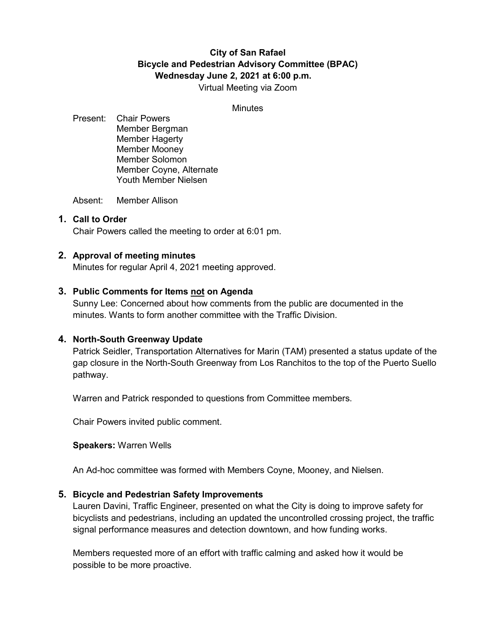# **City of San Rafael Bicycle and Pedestrian Advisory Committee (BPAC) Wednesday June 2, 2021 at 6:00 p.m.** Virtual Meeting via Zoom

**Minutes** 

Present: Chair Powers Member Bergman Member Hagerty Member Mooney Member Solomon Member Coyne, Alternate Youth Member Nielsen

Absent: Member Allison

### **1. Call to Order**

Chair Powers called the meeting to order at 6:01 pm.

### **2. Approval of meeting minutes**

Minutes for regular April 4, 2021 meeting approved.

### **3. Public Comments for Items not on Agenda**

Sunny Lee: Concerned about how comments from the public are documented in the minutes. Wants to form another committee with the Traffic Division.

### **4. North-South Greenway Update**

Patrick Seidler, Transportation Alternatives for Marin (TAM) presented a status update of the gap closure in the North-South Greenway from Los Ranchitos to the top of the Puerto Suello pathway.

Warren and Patrick responded to questions from Committee members.

Chair Powers invited public comment.

**Speakers:** Warren Wells

An Ad-hoc committee was formed with Members Coyne, Mooney, and Nielsen.

### **5. Bicycle and Pedestrian Safety Improvements**

Lauren Davini, Traffic Engineer, presented on what the City is doing to improve safety for bicyclists and pedestrians, including an updated the uncontrolled crossing project, the traffic signal performance measures and detection downtown, and how funding works.

Members requested more of an effort with traffic calming and asked how it would be possible to be more proactive.